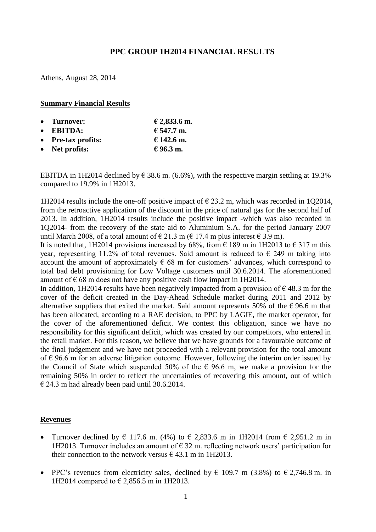## **PPC GROUP 1H2014 FINANCIAL RESULTS**

Athens, August 28, 2014

#### **Summary Financial Results**

| • Turnover:        | € 2,833.6 m. |
|--------------------|--------------|
| $\bullet$ EBITDA:  | € 547.7 m.   |
| • Pre-tax profits: | € 142.6 m.   |
| • Net profits:     | € 96.3 m.    |

EBITDA in 1H2014 declined by  $\epsilon$  38.6 m. (6.6%), with the respective margin settling at 19.3% compared to 19.9% in 1H2013.

1H2014 results include the one-off positive impact of  $\epsilon$  23.2 m, which was recorded in 1Q2014, from the retroactive application of the discount in the price of natural gas for the second half of 2013. In addition, 1H2014 results include the positive impact -which was also recorded in 1Q2014- from the recovery of the state aid to Aluminium S.A. for the period January 2007 until March 2008, of a total amount of  $\in$  21.3 m ( $\in$  17.4 m plus interest  $\in$  3.9 m).

It is noted that, 1H2014 provisions increased by 68%, from  $\epsilon$  189 m in 1H2013 to  $\epsilon$  317 m this year, representing 11.2% of total revenues. Said amount is reduced to  $\epsilon$  249 m taking into account the amount of approximately  $\epsilon$  68 m for customers' advances, which correspond to total bad debt provisioning for Low Voltage customers until 30.6.2014. The aforementioned amount of  $\epsilon$  68 m does not have any positive cash flow impact in 1H2014.

In addition, 1H2014 results have been negatively impacted from a provision of  $\epsilon$  48.3 m for the cover of the deficit created in the Day-Ahead Schedule market during 2011 and 2012 by alternative suppliers that exited the market. Said amount represents 50% of the  $\epsilon$  96.6 m that has been allocated, according to a RAE decision, to PPC by LAGIE, the market operator, for the cover of the aforementioned deficit. We contest this obligation, since we have no responsibility for this significant deficit, which was created by our competitors, who entered in the retail market. For this reason, we believe that we have grounds for a favourable outcome of the final judgement and we have not proceeded with a relevant provision for the total amount of  $\epsilon$  96.6 m for an adverse litigation outcome. However, following the interim order issued by the Council of State which suspended 50% of the  $\epsilon$  96.6 m, we make a provision for the remaining 50% in order to reflect the uncertainties of recovering this amount, out of which  $\epsilon$  24.3 m had already been paid until 30.6.2014.

#### **Revenues**

- Turnover declined by  $\epsilon$  117.6 m. (4%) to  $\epsilon$  2,833.6 m in 1H2014 from  $\epsilon$  2,951.2 m in 1H2013. Turnover includes an amount of  $\epsilon$  32 m. reflecting network users' participation for their connection to the network versus  $\epsilon$  43.1 m in 1H2013.
- PPC's revenues from electricity sales, declined by  $\in$  109.7 m (3.8%) to  $\in$  2,746.8 m. in 1H2014 compared to € 2,856.5 m in 1H2013.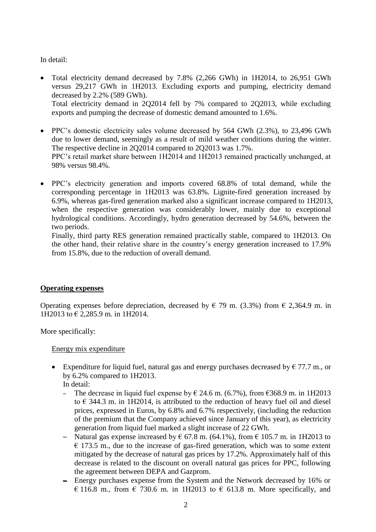## In detail:

- Total electricity demand decreased by 7.8% (2,266 GWh) in 1H2014, to 26,951 GWh versus 29,217 GWh in 1H2013. Excluding exports and pumping, electricity demand decreased by 2.2% (589 GWh). Total electricity demand in 2Q2014 fell by 7% compared to 2Q2013, while excluding exports and pumping the decrease of domestic demand amounted to 1.6%.
- PPC's domestic electricity sales volume decreased by 564 GWh (2.3%), to 23,496 GWh due to lower demand, seemingly as a result of mild weather conditions during the winter. The respective decline in 2Q2014 compared to 2Q2013 was 1.7%. PPC's retail market share between 1H2014 and 1H2013 remained practically unchanged, at 98% versus 98.4%.
- PPC's electricity generation and imports covered 68.8% of total demand, while the corresponding percentage in 1H2013 was 63.8%. Lignite-fired generation increased by 6.9%, whereas gas-fired generation marked also a significant increase compared to 1H2013, when the respective generation was considerably lower, mainly due to exceptional hydrological conditions. Accordingly, hydro generation decreased by 54.6%, between the two periods.

Finally, third party RES generation remained practically stable, compared to 1H2013. On the other hand, their relative share in the country's energy generation increased to 17.9% from 15.8%, due to the reduction of overall demand.

## **Operating expenses**

Operating expenses before depreciation, decreased by  $\in$  79 m. (3.3%) from  $\in$  2,364.9 m. in 1H2013 to € 2,285.9 m. in 1H2014.

More specifically:

Energy mix expenditure

- Expenditure for liquid fuel, natural gas and energy purchases decreased by  $\epsilon$  77.7 m., or by 6.2% compared to 1H2013.
	- In detail:
	- The decrease in liquid fuel expense by  $\epsilon$  24.6 m. (6.7%), from  $\epsilon$ 368.9 m. in 1H2013 to  $\epsilon$  344.3 m. in 1H2014, is attributed to the reduction of heavy fuel oil and diesel prices, expressed in Euros, by 6.8% and 6.7% respectively, (including the reduction of the premium that the Company achieved since January of this year), as electricity generation from liquid fuel marked a slight increase of 22 GWh.
	- Natural gas expense increased by  $\epsilon$  67.8 m. (64.1%), from  $\epsilon$  105.7 m. in 1H2013 to  $\epsilon$  173.5 m., due to the increase of gas-fired generation, which was to some extent mitigated by the decrease of natural gas prices by 17.2%. Approximately half of this decrease is related to the discount on overall natural gas prices for PPC, following the agreement between DEPA and Gazprom.
	- Energy purchases expense from the System and the Network decreased by 16% or  $\in$  116.8 m., from  $\in$  730.6 m. in 1H2013 to  $\in$  613.8 m. More specifically, and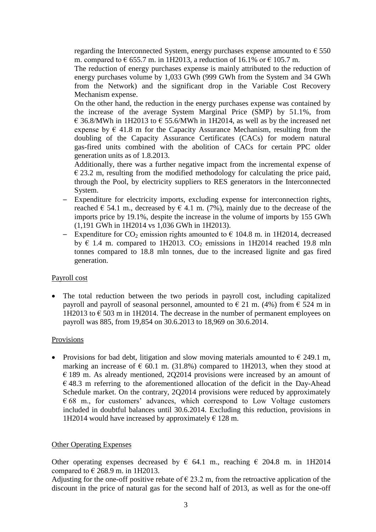regarding the Interconnected System, energy purchases expense amounted to  $\epsilon$  550 m. compared to  $\epsilon$  655.7 m. in 1H2013, a reduction of 16.1% or  $\epsilon$  105.7 m.

The reduction of energy purchases expense is mainly attributed to the reduction of energy purchases volume by 1,033 GWh (999 GWh from the System and 34 GWh from the Network) and the significant drop in the Variable Cost Recovery Mechanism expense.

On the other hand, the reduction in the energy purchases expense was contained by the increase of the average System Marginal Price (SMP) by 51.1%, from € 36.8/MWh in 1H2013 to  $€$  55.6/MWh in 1H2014, as well as by the increased net expense by  $\epsilon$  41.8 m for the Capacity Assurance Mechanism, resulting from the doubling of the Capacity Assurance Certificates (CACs) for modern natural gas-fired units combined with the abolition of CACs for certain PPC older generation units as of 1.8.2013.

Additionally, there was a further negative impact from the incremental expense of  $\epsilon$  23.2 m, resulting from the modified methodology for calculating the price paid, through the Pool, by electricity suppliers to RES generators in the Interconnected System.

- ─ Expenditure for electricity imports, excluding expense for interconnection rights, reached  $\in$  54.1 m., decreased by  $\in$  4.1 m. (7%), mainly due to the decrease of the imports price by 19.1%, despite the increase in the volume of imports by 155 GWh (1,191 GWh in 1H2014 vs 1,036 GWh in 1H2013).
- Expenditure for  $CO_2$  emission rights amounted to  $\epsilon$  104.8 m. in 1H2014, decreased by  $\epsilon$  1.4 m. compared to 1H2013. CO<sub>2</sub> emissions in 1H2014 reached 19.8 mln tonnes compared to 18.8 mln tonnes, due to the increased lignite and gas fired generation.

## Payroll cost

 The total reduction between the two periods in payroll cost, including capitalized payroll and payroll of seasonal personnel, amounted to  $\in$  21 m. (4%) from  $\in$  524 m in 1H2013 to  $\epsilon$  503 m in 1H2014. The decrease in the number of permanent employees on payroll was 885, from 19,854 on 30.6.2013 to 18,969 on 30.6.2014.

#### Provisions

• Provisions for bad debt, litigation and slow moving materials amounted to  $\epsilon$  249.1 m, marking an increase of  $\epsilon$  60.1 m. (31.8%) compared to 1H2013, when they stood at  $\epsilon$  189 m. As already mentioned, 202014 provisions were increased by an amount of  $\epsilon$  48.3 m referring to the aforementioned allocation of the deficit in the Day-Ahead Schedule market. On the contrary, 2Q2014 provisions were reduced by approximately  $668$  m., for customers' advances, which correspond to Low Voltage customers included in doubtful balances until 30.6.2014. Excluding this reduction, provisions in 1H2014 would have increased by approximately  $\epsilon$  128 m.

#### Other Operating Expenses

Other operating expenses decreased by  $\epsilon$  64.1 m., reaching  $\epsilon$  204.8 m. in 1H2014 compared to  $\in$  268.9 m. in 1H2013.

Adjusting for the one-off positive rebate of  $\epsilon$  23.2 m, from the retroactive application of the discount in the price of natural gas for the second half of 2013, as well as for the one-off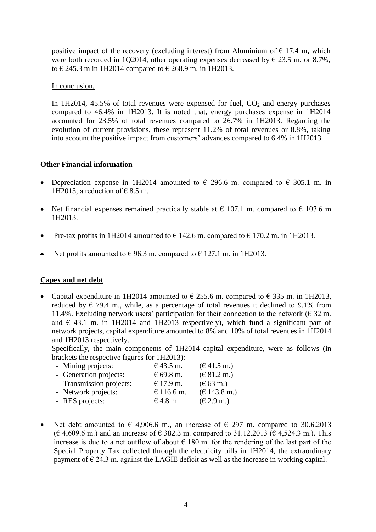positive impact of the recovery (excluding interest) from Aluminium of  $\epsilon$  17.4 m, which were both recorded in 1Q2014, other operating expenses decreased by  $\epsilon$  23.5 m. or 8.7%, to € 245.3 m in 1H2014 compared to € 268.9 m. in 1H2013.

In conclusion,

In 1H2014, 45.5% of total revenues were expensed for fuel,  $CO<sub>2</sub>$  and energy purchases compared to 46.4% in 1H2013. It is noted that, energy purchases expense in 1H2014 accounted for 23.5% of total revenues compared to 26.7% in 1H2013. Regarding the evolution of current provisions, these represent 11.2% of total revenues or 8.8%, taking into account the positive impact from customers' advances compared to 6.4% in 1H2013.

#### **Other Financial information**

- Depreciation expense in 1H2014 amounted to  $\epsilon$  296.6 m. compared to  $\epsilon$  305.1 m. in 1H2013, a reduction of  $\epsilon$  8.5 m.
- Net financial expenses remained practically stable at  $\epsilon$  107.1 m. compared to  $\epsilon$  107.6 m 1H2013.
- Pre-tax profits in 1H2014 amounted to  $\epsilon$  142.6 m. compared to  $\epsilon$  170.2 m. in 1H2013.
- Net profits amounted to  $\epsilon$  96.3 m. compared to  $\epsilon$  127.1 m. in 1H2013.

#### **Capex and net debt**

• Capital expenditure in 1H2014 amounted to  $\epsilon$  255.6 m. compared to  $\epsilon$  335 m. in 1H2013, reduced by  $\in$  79.4 m., while, as a percentage of total revenues it declined to 9.1% from 11.4%. Excluding network users' participation for their connection to the network ( $\epsilon$  32 m. and  $\epsilon$  43.1 m. in 1H2014 and 1H2013 respectively), which fund a significant part of network projects, capital expenditure amounted to 8% and 10% of total revenues in 1H2014 and 1H2013 respectively.

Specifically, the main components of 1H2014 capital expenditure, were as follows (in brackets the respective figures for 1H2013):

| - Mining projects:       | € 43.5 m.  | $(\text{\textsterling} 41.5 \text{ m.})$ |
|--------------------------|------------|------------------------------------------|
| - Generation projects:   | € 69.8 m.  | (E 81.2 m.)                              |
| - Transmission projects: | € 17.9 m.  | $(\text{\textsterling} 63 \text{ m.})$   |
| - Network projects:      | € 116.6 m. | $(\text{€ } 143.8 \text{ m.})$           |
| - RES projects:          | $€4.8$ m.  | (E 2.9 m.)                               |

• Net debt amounted to  $\epsilon$  4,906.6 m., an increase of  $\epsilon$  297 m. compared to 30.6.2013 (€ 4,609.6 m.) and an increase of € 382.3 m. compared to 31.12.2013 (€ 4,524.3 m.). This increase is due to a net outflow of about  $\epsilon$  180 m. for the rendering of the last part of the Special Property Tax collected through the electricity bills in 1H2014, the extraordinary payment of  $\epsilon$  24.3 m. against the LAGIE deficit as well as the increase in working capital.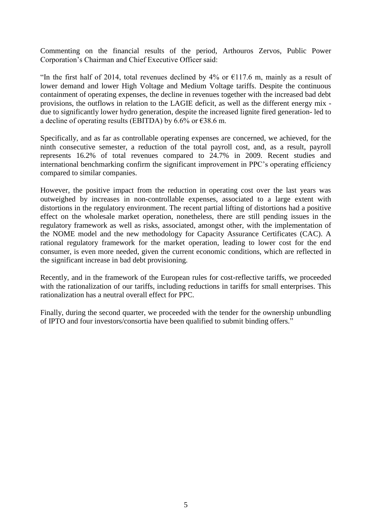Commenting on the financial results of the period, Arthouros Zervos, Public Power Corporation's Chairman and Chief Executive Officer said:

"In the first half of 2014, total revenues declined by 4% or  $\epsilon$ 117.6 m, mainly as a result of lower demand and lower High Voltage and Medium Voltage tariffs. Despite the continuous containment of operating expenses, the decline in revenues together with the increased bad debt provisions, the outflows in relation to the LAGIE deficit, as well as the different energy mix due to significantly lower hydro generation, despite the increased lignite fired generation- led to a decline of operating results (EBITDA) by 6.6% or  $\epsilon$ 38.6 m.

Specifically, and as far as controllable operating expenses are concerned, we achieved, for the ninth consecutive semester, a reduction of the total payroll cost, and, as a result, payroll represents 16.2% of total revenues compared to 24.7% in 2009. Recent studies and international benchmarking confirm the significant improvement in PPC's operating efficiency compared to similar companies.

However, the positive impact from the reduction in operating cost over the last years was outweighed by increases in non-controllable expenses, associated to a large extent with distortions in the regulatory environment. The recent partial lifting of distortions had a positive effect on the wholesale market operation, nonetheless, there are still pending issues in the regulatory framework as well as risks, associated, amongst other, with the implementation of the NOME model and the new methodology for Capacity Assurance Certificates (CAC). A rational regulatory framework for the market operation, leading to lower cost for the end consumer, is even more needed, given the current economic conditions, which are reflected in the significant increase in bad debt provisioning.

Recently, and in the framework of the European rules for cost-reflective tariffs, we proceeded with the rationalization of our tariffs, including reductions in tariffs for small enterprises. This rationalization has a neutral overall effect for PPC.

Finally, during the second quarter, we proceeded with the tender for the ownership unbundling of IPTO and four investors/consortia have been qualified to submit binding offers."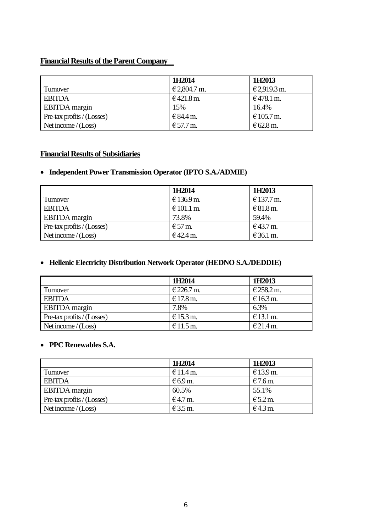# **Financial Results of the Parent Company**

|                            | 1H2014       | 1H2013       |
|----------------------------|--------------|--------------|
| Turnover                   | € 2,804.7 m. | € 2,919.3 m. |
| <b>EBITDA</b>              | €421.8 m.    | €478.1 m.    |
| <b>EBITDA</b> margin       | 15%          | 16.4%        |
| Pre-tax profits / (Losses) | € 84.4 m.    | € 105.7 m.   |
| Net income $/(Loss)$       | € 57.7 m.    | $€62.8$ m.   |

# **Financial Results of Subsidiaries**

## **Independent Power Transmission Operator (IPTO S.A./ADMIE)**

|                            | 1H2014                               | 1H2013     |
|----------------------------|--------------------------------------|------------|
| Turnover                   | € 136.9 m.                           | € 137.7 m. |
| <b>EBITDA</b>              | € 101.1 m.                           | € 81.8 m.  |
| <b>EBITDA</b> margin       | 73.8%                                | 59.4%      |
| Pre-tax profits / (Losses) | $\text{\textsterling}57 \text{ m}$ . | €43.7 m.   |
| Net income $/(Loss)$       | €42.4 m.                             | $€36.1$ m. |

## **Hellenic Electricity Distribution Network Operator (HEDNO S.A./DEDDIE)**

|                                           | 1H2014     | 1H2013        |
|-------------------------------------------|------------|---------------|
| I Turnover                                | € 226.7 m. | € 258.2 m.    |
| <b>EBITDA</b>                             | € 17.8 m.  | $€16.3$ m.    |
| <b>EBITDA</b> margin                      | 7.8%       | 6.3%          |
| $\blacksquare$ Pre-tax profits / (Losses) | $€15.3$ m. | $\in$ 13.1 m. |
| Net income $/(Loss)$                      | $€11.5$ m. | € 21.4 m.     |

### **PPC Renewables S.A.**

|                            | 1H2014     | 1H2013     |
|----------------------------|------------|------------|
| Turnover                   | $€11.4$ m. | € 13.9 m.  |
| <b>EBITDA</b>              | $€6.9$ m.  | $€7.6$ m.  |
| <b>EBITDA</b> margin       | 60.5%      | 55.1%      |
| Pre-tax profits / (Losses) | $€4.7$ m.  | $E$ 5.2 m. |
| Net income $/(Loss)$       | $E$ 3.5 m. | $€4.3$ m.  |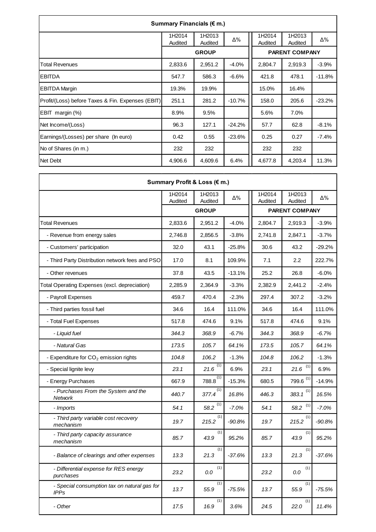| Summary Financials (€ m.)                         |                   |                   |          |                   |                       |          |  |  |  |
|---------------------------------------------------|-------------------|-------------------|----------|-------------------|-----------------------|----------|--|--|--|
|                                                   | 1H2014<br>Audited | 1H2013<br>Audited | Δ%       | 1H2014<br>Audited | 1H2013<br>Audited     | Δ%       |  |  |  |
|                                                   |                   | <b>GROUP</b>      |          |                   | <b>PARENT COMPANY</b> |          |  |  |  |
| <b>Total Revenues</b>                             | 2,833.6           | 2,951.2           | $-4.0%$  | 2,804.7           | 2,919.3               | $-3.9%$  |  |  |  |
| EBITDA                                            | 547.7             | 586.3             | $-6.6%$  | 421.8             | 478.1                 | $-11.8%$ |  |  |  |
| <b>EBITDA Margin</b>                              | 19.3%             | 19.9%             |          | 15.0%             | 16.4%                 |          |  |  |  |
| Profit/(Loss) before Taxes & Fin. Expenses (EBIT) | 251.1             | 281.2             | $-10.7%$ | 158.0             | 205.6                 | $-23.2%$ |  |  |  |
| EBIT margin (%)                                   | 8.9%              | 9.5%              |          | 5.6%              | 7.0%                  |          |  |  |  |
| Net Income/(Loss)                                 | 96.3              | 127.1             | $-24.2%$ | 57.7              | 62.8                  | $-8.1%$  |  |  |  |
| Earnings/(Losses) per share (In euro)             | 0.42              | 0.55              | $-23.6%$ | 0.25              | 0.27                  | $-7.4%$  |  |  |  |
| No of Shares (in m.)                              | 232               | 232               |          | 232               | 232                   |          |  |  |  |
| Net Debt                                          | 4,906.6           | 4,609.6           | 6.4%     | 4,677.8           | 4,203.4               | 11.3%    |  |  |  |

| Summary Profit & Loss (€ m.)                                |                   |                   |          |                       |                   |          |  |  |
|-------------------------------------------------------------|-------------------|-------------------|----------|-----------------------|-------------------|----------|--|--|
|                                                             | 1H2014<br>Audited | 1H2013<br>Audited | Δ%       | 1H2014<br>Audited     | 1H2013<br>Audited | Δ%       |  |  |
|                                                             |                   | <b>GROUP</b>      |          | <b>PARENT COMPANY</b> |                   |          |  |  |
| <b>Total Revenues</b>                                       | 2,833.6           | 2,951.2           | $-4.0%$  | 2,804.7               | 2,919.3           | $-3.9%$  |  |  |
| - Revenue from energy sales                                 | 2,746.8           | 2,856.5           | $-3.8%$  | 2,741.8               | 2,847.1           | $-3.7%$  |  |  |
| - Customers' participation                                  | 32.0              | 43.1              | $-25.8%$ | 30.6                  | 43.2              | $-29.2%$ |  |  |
| - Third Party Distribution network fees and PSO             | 17.0              | 8.1               | 109.9%   | 7.1                   | 2.2               | 222.7%   |  |  |
| - Other revenues                                            | 37.8              | 43.5              | $-13.1%$ | 25.2                  | 26.8              | $-6.0%$  |  |  |
| Total Operating Expenses (excl. depreciation)               | 2,285.9           | 2,364.9           | $-3.3%$  | 2,382.9               | 2,441.2           | $-2.4%$  |  |  |
| - Payroll Expenses                                          | 459.7             | 470.4             | $-2.3%$  | 297.4                 | 307.2             | $-3.2%$  |  |  |
| - Third parties fossil fuel                                 | 34.6              | 16.4              | 111.0%   | 34.6                  | 16.4              | 111.0%   |  |  |
| - Total Fuel Expenses                                       | 517.8             | 474.6             | 9.1%     | 517.8                 | 474.6             | 9.1%     |  |  |
| - Liquid fuel                                               | 344.3             | 368.9             | $-6.7%$  | 344.3                 | 368.9             | $-6.7%$  |  |  |
| - Natural Gas                                               | 173.5             | 105.7             | 64.1%    | 173.5                 | 105.7             | 64.1%    |  |  |
| - Expenditure for $CO2$ emission rights                     | 104.8             | 106.2             | $-1.3%$  | 104.8                 | 106.2             | $-1.3%$  |  |  |
| - Special lignite levy                                      | 23.1              | (1)<br>21.6       | 6.9%     | 23.1                  | (1)<br>21.6       | 6.9%     |  |  |
| - Energy Purchases                                          | 667.9             | $788.8^{(1)}$     | $-15.3%$ | 680.5                 | 799.6 $(1)$       | $-14.9%$ |  |  |
| - Purchases From the System and the<br>Network              | 440.7             | (1)<br>377.4      | 16.8%    | 446.3                 | 383.1 $(1)$       | 16.5%    |  |  |
| - Imports                                                   | 54.1              | (1)<br>58.2       | $-7.0%$  | 54.1                  | (1)<br>58.2       | $-7.0%$  |  |  |
| - Third party variable cost recovery<br>mechanism           | 19.7              | (1)<br>215.2      | $-90.8%$ | 19.7                  | (1)<br>215.2      | $-90.8%$ |  |  |
| - Third party capacity assurance<br>mechanism               | 85.7              | (1)<br>43.9       | 95.2%    | 85.7                  | (1)<br>43.9       | 95.2%    |  |  |
| - Balance of clearings and other expenses                   | 13.3              | (1)<br>21.3       | $-37.6%$ | 13.3                  | (1)<br>21.3       | $-37.6%$ |  |  |
| - Differential expense for RES energy<br>purchases          | 23.2              | (1)<br>$0.0\,$    |          | 23.2                  | (1)<br>$0.0\,$    |          |  |  |
| - Special consumption tax on natural gas for<br><b>IPPs</b> | 13.7              | (1)<br>55.9       | $-75.5%$ | 13.7                  | (1)<br>55.9       | $-75.5%$ |  |  |
| - Other                                                     | 17.5              | (1)<br>16.9       | 3.6%     | 24.5                  | (1)<br>22.0       | 11.4%    |  |  |